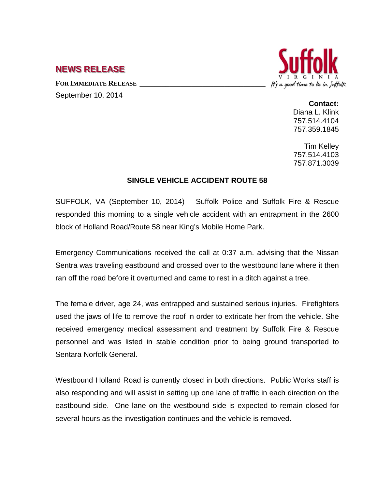## **NEWS RELEASE**

FOR **IMMEDIATE RELEASE** September 10, 2014



**Contact:** Diana L. Klink

757.514.4104 757.359.1845

Tim Kelley 757.514.4103 757.871.3039

## **SINGLE VEHICLE ACCIDENT ROUTE 58**

SUFFOLK, VA (September 10, 2014) Suffolk Police and Suffolk Fire & Rescue responded this morning to a single vehicle accident with an entrapment in the 2600 block of Holland Road/Route 58 near King's Mobile Home Park.

Emergency Communications received the call at 0:37 a.m. advising that the Nissan Sentra was traveling eastbound and crossed over to the westbound lane where it then ran off the road before it overturned and came to rest in a ditch against a tree.

The female driver, age 24, was entrapped and sustained serious injuries. Firefighters used the jaws of life to remove the roof in order to extricate her from the vehicle. She received emergency medical assessment and treatment by Suffolk Fire & Rescue personnel and was listed in stable condition prior to being ground transported to Sentara Norfolk General.

Westbound Holland Road is currently closed in both directions. Public Works staff is also responding and will assist in setting up one lane of traffic in each direction on the eastbound side. One lane on the westbound side is expected to remain closed for several hours as the investigation continues and the vehicle is removed.